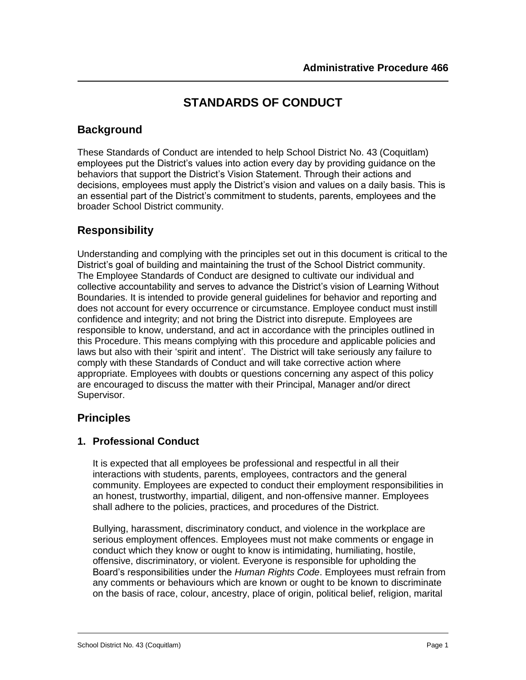## **STANDARDS OF CONDUCT**

### **Background**

These Standards of Conduct are intended to help School District No. 43 (Coquitlam) employees put the District's values into action every day by providing guidance on the behaviors that support the District's Vision Statement. Through their actions and decisions, employees must apply the District's vision and values on a daily basis. This is an essential part of the District's commitment to students, parents, employees and the broader School District community.

## **Responsibility**

Understanding and complying with the principles set out in this document is critical to the District's goal of building and maintaining the trust of the School District community. The Employee Standards of Conduct are designed to cultivate our individual and collective accountability and serves to advance the District's vision of Learning Without Boundaries. It is intended to provide general guidelines for behavior and reporting and does not account for every occurrence or circumstance. Employee conduct must instill confidence and integrity; and not bring the District into disrepute. Employees are responsible to know, understand, and act in accordance with the principles outlined in this Procedure. This means complying with this procedure and applicable policies and laws but also with their 'spirit and intent'. The District will take seriously any failure to comply with these Standards of Conduct and will take corrective action where appropriate. Employees with doubts or questions concerning any aspect of this policy are encouraged to discuss the matter with their Principal, Manager and/or direct Supervisor.

## **Principles**

#### **1. Professional Conduct**

It is expected that all employees be professional and respectful in all their interactions with students, parents, employees, contractors and the general community. Employees are expected to conduct their employment responsibilities in an honest, trustworthy, impartial, diligent, and non-offensive manner. Employees shall adhere to the policies, practices, and procedures of the District.

Bullying, harassment, discriminatory conduct, and violence in the workplace are serious employment offences. Employees must not make comments or engage in conduct which they know or ought to know is intimidating, humiliating, hostile, offensive, discriminatory, or violent. Everyone is responsible for upholding the Board's responsibilities under the *Human Rights Code*. Employees must refrain from any comments or behaviours which are known or ought to be known to discriminate on the basis of race, colour, ancestry, place of origin, political belief, religion, marital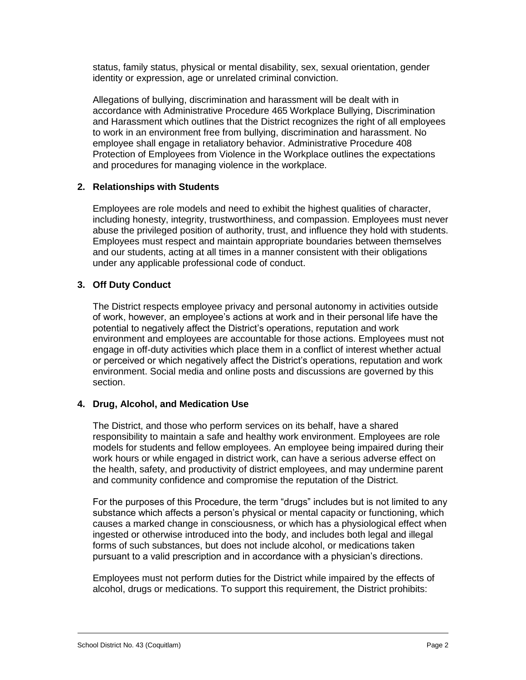status, family status, physical or mental disability, sex, sexual orientation, gender identity or expression, age or unrelated criminal conviction.

Allegations of bullying, discrimination and harassment will be dealt with in accordance with Administrative Procedure 465 Workplace Bullying, Discrimination and Harassment which outlines that the District recognizes the right of all employees to work in an environment free from bullying, discrimination and harassment. No employee shall engage in retaliatory behavior. Administrative Procedure 408 Protection of Employees from Violence in the Workplace outlines the expectations and procedures for managing violence in the workplace.

#### **2. Relationships with Students**

Employees are role models and need to exhibit the highest qualities of character, including honesty, integrity, trustworthiness, and compassion. Employees must never abuse the privileged position of authority, trust, and influence they hold with students. Employees must respect and maintain appropriate boundaries between themselves and our students, acting at all times in a manner consistent with their obligations under any applicable professional code of conduct.

#### **3. Off Duty Conduct**

The District respects employee privacy and personal autonomy in activities outside of work, however, an employee's actions at work and in their personal life have the potential to negatively affect the District's operations, reputation and work environment and employees are accountable for those actions. Employees must not engage in off-duty activities which place them in a conflict of interest whether actual or perceived or which negatively affect the District's operations, reputation and work environment. Social media and online posts and discussions are governed by this section.

#### **4. Drug, Alcohol, and Medication Use**

The District, and those who perform services on its behalf, have a shared responsibility to maintain a safe and healthy work environment. Employees are role models for students and fellow employees. An employee being impaired during their work hours or while engaged in district work, can have a serious adverse effect on the health, safety, and productivity of district employees, and may undermine parent and community confidence and compromise the reputation of the District.

For the purposes of this Procedure, the term "drugs" includes but is not limited to any substance which affects a person's physical or mental capacity or functioning, which causes a marked change in consciousness, or which has a physiological effect when ingested or otherwise introduced into the body, and includes both legal and illegal forms of such substances, but does not include alcohol, or medications taken pursuant to a valid prescription and in accordance with a physician's directions.

Employees must not perform duties for the District while impaired by the effects of alcohol, drugs or medications. To support this requirement, the District prohibits: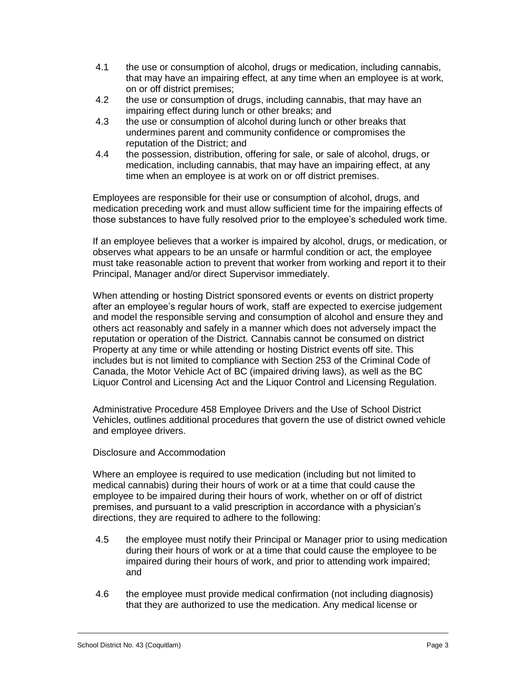- 4.1 the use or consumption of alcohol, drugs or medication, including cannabis, that may have an impairing effect, at any time when an employee is at work, on or off district premises;
- 4.2 the use or consumption of drugs, including cannabis, that may have an impairing effect during lunch or other breaks; and
- 4.3 the use or consumption of alcohol during lunch or other breaks that undermines parent and community confidence or compromises the reputation of the District; and
- 4.4 the possession, distribution, offering for sale, or sale of alcohol, drugs, or medication, including cannabis, that may have an impairing effect, at any time when an employee is at work on or off district premises.

Employees are responsible for their use or consumption of alcohol, drugs, and medication preceding work and must allow sufficient time for the impairing effects of those substances to have fully resolved prior to the employee's scheduled work time.

If an employee believes that a worker is impaired by alcohol, drugs, or medication, or observes what appears to be an unsafe or harmful condition or act, the employee must take reasonable action to prevent that worker from working and report it to their Principal, Manager and/or direct Supervisor immediately.

When attending or hosting District sponsored events or events on district property after an employee's regular hours of work, staff are expected to exercise judgement and model the responsible serving and consumption of alcohol and ensure they and others act reasonably and safely in a manner which does not adversely impact the reputation or operation of the District. Cannabis cannot be consumed on district Property at any time or while attending or hosting District events off site. This includes but is not limited to compliance with Section 253 of the Criminal Code of Canada, the Motor Vehicle Act of BC (impaired driving laws), as well as the BC Liquor Control and Licensing Act and the Liquor Control and Licensing Regulation.

Administrative Procedure 458 Employee Drivers and the Use of School District Vehicles, outlines additional procedures that govern the use of district owned vehicle and employee drivers.

#### Disclosure and Accommodation

Where an employee is required to use medication (including but not limited to medical cannabis) during their hours of work or at a time that could cause the employee to be impaired during their hours of work, whether on or off of district premises, and pursuant to a valid prescription in accordance with a physician's directions, they are required to adhere to the following:

- 4.5 the employee must notify their Principal or Manager prior to using medication during their hours of work or at a time that could cause the employee to be impaired during their hours of work, and prior to attending work impaired; and
- 4.6 the employee must provide medical confirmation (not including diagnosis) that they are authorized to use the medication. Any medical license or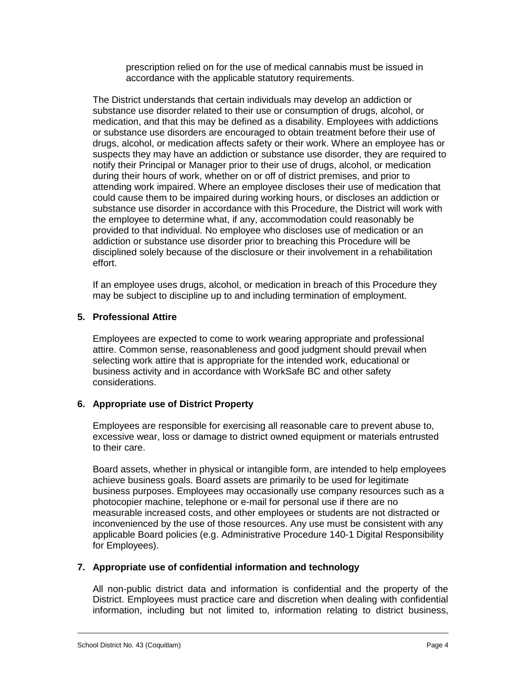prescription relied on for the use of medical cannabis must be issued in accordance with the applicable statutory requirements.

The District understands that certain individuals may develop an addiction or substance use disorder related to their use or consumption of drugs, alcohol, or medication, and that this may be defined as a disability. Employees with addictions or substance use disorders are encouraged to obtain treatment before their use of drugs, alcohol, or medication affects safety or their work. Where an employee has or suspects they may have an addiction or substance use disorder, they are required to notify their Principal or Manager prior to their use of drugs, alcohol, or medication during their hours of work, whether on or off of district premises, and prior to attending work impaired. Where an employee discloses their use of medication that could cause them to be impaired during working hours, or discloses an addiction or substance use disorder in accordance with this Procedure, the District will work with the employee to determine what, if any, accommodation could reasonably be provided to that individual. No employee who discloses use of medication or an addiction or substance use disorder prior to breaching this Procedure will be disciplined solely because of the disclosure or their involvement in a rehabilitation effort.

If an employee uses drugs, alcohol, or medication in breach of this Procedure they may be subject to discipline up to and including termination of employment.

#### **5. Professional Attire**

Employees are expected to come to work wearing appropriate and professional attire. Common sense, reasonableness and good judgment should prevail when selecting work attire that is appropriate for the intended work, educational or business activity and in accordance with WorkSafe BC and other safety considerations.

#### **6. Appropriate use of District Property**

Employees are responsible for exercising all reasonable care to prevent abuse to, excessive wear, loss or damage to district owned equipment or materials entrusted to their care.

Board assets, whether in physical or intangible form, are intended to help employees achieve business goals. Board assets are primarily to be used for legitimate business purposes. Employees may occasionally use company resources such as a photocopier machine, telephone or e-mail for personal use if there are no measurable increased costs, and other employees or students are not distracted or inconvenienced by the use of those resources. Any use must be consistent with any applicable Board policies (e.g. Administrative Procedure 140-1 Digital Responsibility for Employees).

#### **7. Appropriate use of confidential information and technology**

All non-public district data and information is confidential and the property of the District. Employees must practice care and discretion when dealing with confidential information, including but not limited to, information relating to district business,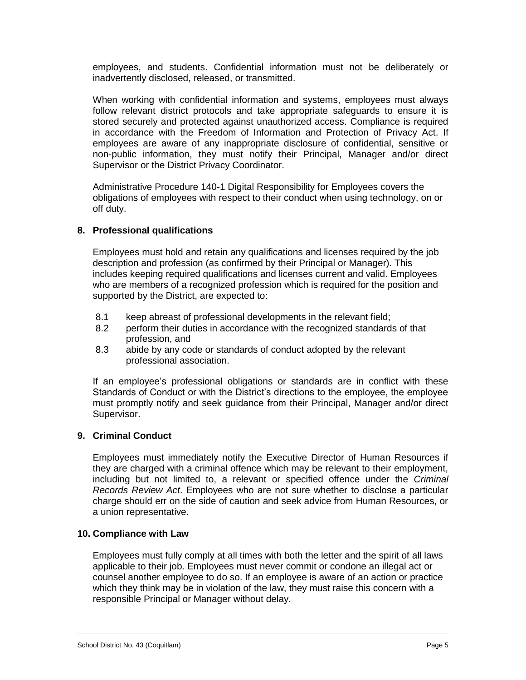employees, and students. Confidential information must not be deliberately or inadvertently disclosed, released, or transmitted.

When working with confidential information and systems, employees must always follow relevant district protocols and take appropriate safeguards to ensure it is stored securely and protected against unauthorized access. Compliance is required in accordance with the Freedom of Information and Protection of Privacy Act. If employees are aware of any inappropriate disclosure of confidential, sensitive or non-public information, they must notify their Principal, Manager and/or direct Supervisor or the District Privacy Coordinator.

Administrative Procedure 140-1 Digital Responsibility for Employees covers the obligations of employees with respect to their conduct when using technology, on or off duty.

#### **8. Professional qualifications**

Employees must hold and retain any qualifications and licenses required by the job description and profession (as confirmed by their Principal or Manager). This includes keeping required qualifications and licenses current and valid. Employees who are members of a recognized profession which is required for the position and supported by the District, are expected to:

- 8.1 keep abreast of professional developments in the relevant field;
- 8.2 perform their duties in accordance with the recognized standards of that profession, and
- 8.3 abide by any code or standards of conduct adopted by the relevant professional association.

If an employee's professional obligations or standards are in conflict with these Standards of Conduct or with the District's directions to the employee, the employee must promptly notify and seek guidance from their Principal, Manager and/or direct Supervisor.

#### **9. Criminal Conduct**

Employees must immediately notify the Executive Director of Human Resources if they are charged with a criminal offence which may be relevant to their employment, including but not limited to, a relevant or specified offence under the *Criminal Records Review Act*. Employees who are not sure whether to disclose a particular charge should err on the side of caution and seek advice from Human Resources, or a union representative.

#### **10. Compliance with Law**

Employees must fully comply at all times with both the letter and the spirit of all laws applicable to their job. Employees must never commit or condone an illegal act or counsel another employee to do so. If an employee is aware of an action or practice which they think may be in violation of the law, they must raise this concern with a responsible Principal or Manager without delay.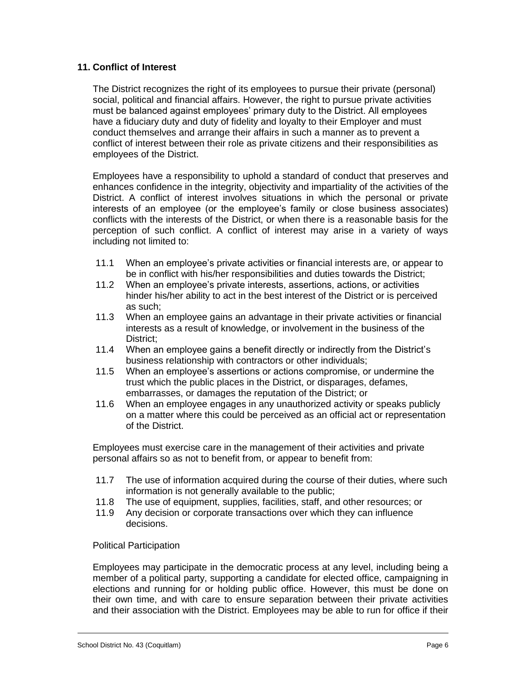#### **11. Conflict of Interest**

The District recognizes the right of its employees to pursue their private (personal) social, political and financial affairs. However, the right to pursue private activities must be balanced against employees' primary duty to the District. All employees have a fiduciary duty and duty of fidelity and loyalty to their Employer and must conduct themselves and arrange their affairs in such a manner as to prevent a conflict of interest between their role as private citizens and their responsibilities as employees of the District.

Employees have a responsibility to uphold a standard of conduct that preserves and enhances confidence in the integrity, objectivity and impartiality of the activities of the District. A conflict of interest involves situations in which the personal or private interests of an employee (or the employee's family or close business associates) conflicts with the interests of the District, or when there is a reasonable basis for the perception of such conflict. A conflict of interest may arise in a variety of ways including not limited to:

- 11.1 When an employee's private activities or financial interests are, or appear to be in conflict with his/her responsibilities and duties towards the District;
- 11.2 When an employee's private interests, assertions, actions, or activities hinder his/her ability to act in the best interest of the District or is perceived as such;
- 11.3 When an employee gains an advantage in their private activities or financial interests as a result of knowledge, or involvement in the business of the District;
- 11.4 When an employee gains a benefit directly or indirectly from the District's business relationship with contractors or other individuals;
- 11.5 When an employee's assertions or actions compromise, or undermine the trust which the public places in the District, or disparages, defames, embarrasses, or damages the reputation of the District; or
- 11.6 When an employee engages in any unauthorized activity or speaks publicly on a matter where this could be perceived as an official act or representation of the District.

Employees must exercise care in the management of their activities and private personal affairs so as not to benefit from, or appear to benefit from:

- 11.7 The use of information acquired during the course of their duties, where such information is not generally available to the public;
- 11.8 The use of equipment, supplies, facilities, staff, and other resources; or
- 11.9 Any decision or corporate transactions over which they can influence decisions.

#### Political Participation

Employees may participate in the democratic process at any level, including being a member of a political party, supporting a candidate for elected office, campaigning in elections and running for or holding public office. However, this must be done on their own time, and with care to ensure separation between their private activities and their association with the District. Employees may be able to run for office if their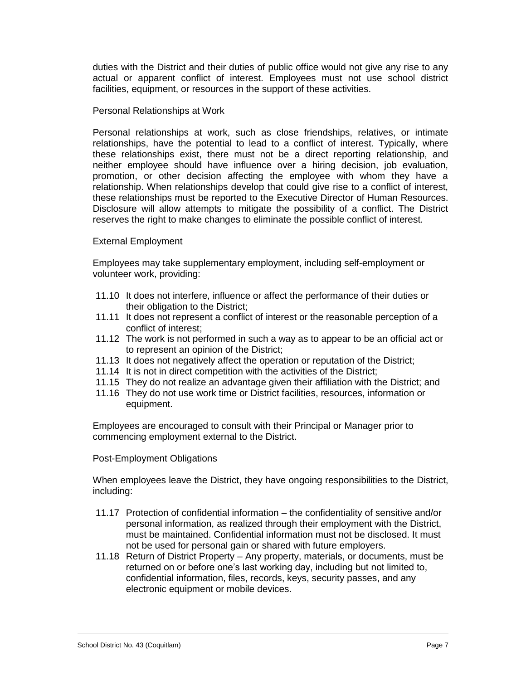duties with the District and their duties of public office would not give any rise to any actual or apparent conflict of interest. Employees must not use school district facilities, equipment, or resources in the support of these activities.

#### Personal Relationships at Work

Personal relationships at work, such as close friendships, relatives, or intimate relationships, have the potential to lead to a conflict of interest. Typically, where these relationships exist, there must not be a direct reporting relationship, and neither employee should have influence over a hiring decision, job evaluation, promotion, or other decision affecting the employee with whom they have a relationship. When relationships develop that could give rise to a conflict of interest, these relationships must be reported to the Executive Director of Human Resources. Disclosure will allow attempts to mitigate the possibility of a conflict. The District reserves the right to make changes to eliminate the possible conflict of interest.

#### External Employment

Employees may take supplementary employment, including self-employment or volunteer work, providing:

- 11.10 It does not interfere, influence or affect the performance of their duties or their obligation to the District;
- 11.11 It does not represent a conflict of interest or the reasonable perception of a conflict of interest;
- 11.12 The work is not performed in such a way as to appear to be an official act or to represent an opinion of the District;
- 11.13 It does not negatively affect the operation or reputation of the District;
- 11.14 It is not in direct competition with the activities of the District;
- 11.15 They do not realize an advantage given their affiliation with the District; and
- 11.16 They do not use work time or District facilities, resources, information or equipment.

Employees are encouraged to consult with their Principal or Manager prior to commencing employment external to the District.

#### Post-Employment Obligations

When employees leave the District, they have ongoing responsibilities to the District, including:

- 11.17 Protection of confidential information the confidentiality of sensitive and/or personal information, as realized through their employment with the District, must be maintained. Confidential information must not be disclosed. It must not be used for personal gain or shared with future employers.
- 11.18 Return of District Property Any property, materials, or documents, must be returned on or before one's last working day, including but not limited to, confidential information, files, records, keys, security passes, and any electronic equipment or mobile devices.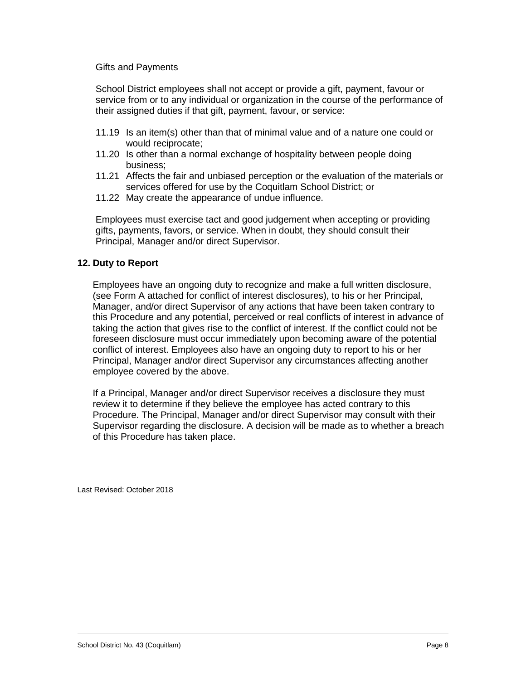#### Gifts and Payments

School District employees shall not accept or provide a gift, payment, favour or service from or to any individual or organization in the course of the performance of their assigned duties if that gift, payment, favour, or service:

- 11.19 Is an item(s) other than that of minimal value and of a nature one could or would reciprocate;
- 11.20 Is other than a normal exchange of hospitality between people doing business;
- 11.21 Affects the fair and unbiased perception or the evaluation of the materials or services offered for use by the Coquitlam School District; or
- 11.22 May create the appearance of undue influence.

Employees must exercise tact and good judgement when accepting or providing gifts, payments, favors, or service. When in doubt, they should consult their Principal, Manager and/or direct Supervisor.

#### **12. Duty to Report**

Employees have an ongoing duty to recognize and make a full written disclosure, (see Form A attached for conflict of interest disclosures), to his or her Principal, Manager, and/or direct Supervisor of any actions that have been taken contrary to this Procedure and any potential, perceived or real conflicts of interest in advance of taking the action that gives rise to the conflict of interest. If the conflict could not be foreseen disclosure must occur immediately upon becoming aware of the potential conflict of interest. Employees also have an ongoing duty to report to his or her Principal, Manager and/or direct Supervisor any circumstances affecting another employee covered by the above.

If a Principal, Manager and/or direct Supervisor receives a disclosure they must review it to determine if they believe the employee has acted contrary to this Procedure. The Principal, Manager and/or direct Supervisor may consult with their Supervisor regarding the disclosure. A decision will be made as to whether a breach of this Procedure has taken place.

Last Revised: October 2018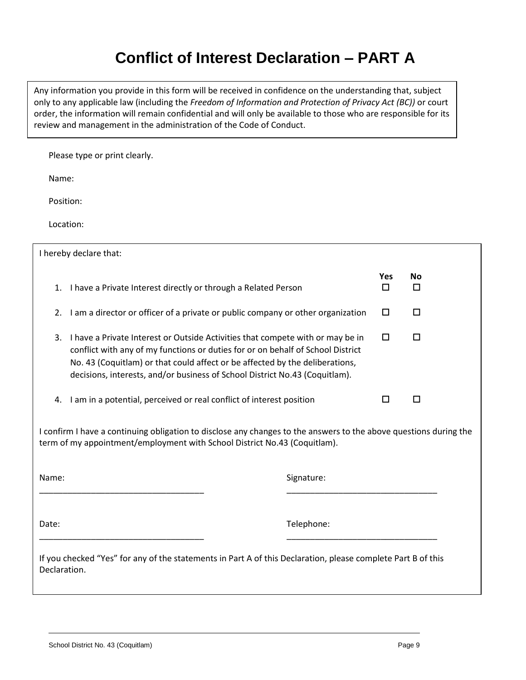## **Conflict of Interest Declaration – PART A**

Any information you provide in this form will be received in confidence on the understanding that, subject only to any applicable law (including the *Freedom of Information and Protection of Privacy Act (BC))* or court order, the information will remain confidential and will only be available to those who are responsible for its review and management in the administration of the Code of Conduct.

Please type or print clearly.

Name:

Position:

Location:

|                                                                                                                                                                                                | I hereby declare that:                                                                                                                                                                                                                                                                                                           |            |               |                |  |
|------------------------------------------------------------------------------------------------------------------------------------------------------------------------------------------------|----------------------------------------------------------------------------------------------------------------------------------------------------------------------------------------------------------------------------------------------------------------------------------------------------------------------------------|------------|---------------|----------------|--|
| 1.                                                                                                                                                                                             | I have a Private Interest directly or through a Related Person                                                                                                                                                                                                                                                                   |            | Yes<br>$\Box$ | <b>No</b><br>□ |  |
| 2.                                                                                                                                                                                             | I am a director or officer of a private or public company or other organization                                                                                                                                                                                                                                                  |            | □             | □              |  |
| 3.                                                                                                                                                                                             | I have a Private Interest or Outside Activities that compete with or may be in<br>conflict with any of my functions or duties for or on behalf of School District<br>No. 43 (Coquitlam) or that could affect or be affected by the deliberations,<br>decisions, interests, and/or business of School District No.43 (Coquitlam). |            |               | □              |  |
| 4.                                                                                                                                                                                             | I am in a potential, perceived or real conflict of interest position                                                                                                                                                                                                                                                             |            |               | $\Box$         |  |
| I confirm I have a continuing obligation to disclose any changes to the answers to the above questions during the<br>term of my appointment/employment with School District No.43 (Coquitlam). |                                                                                                                                                                                                                                                                                                                                  |            |               |                |  |
| Name:                                                                                                                                                                                          |                                                                                                                                                                                                                                                                                                                                  | Signature: |               |                |  |
| Date:                                                                                                                                                                                          |                                                                                                                                                                                                                                                                                                                                  | Telephone: |               |                |  |
| If you checked "Yes" for any of the statements in Part A of this Declaration, please complete Part B of this<br>Declaration.                                                                   |                                                                                                                                                                                                                                                                                                                                  |            |               |                |  |
|                                                                                                                                                                                                |                                                                                                                                                                                                                                                                                                                                  |            |               |                |  |